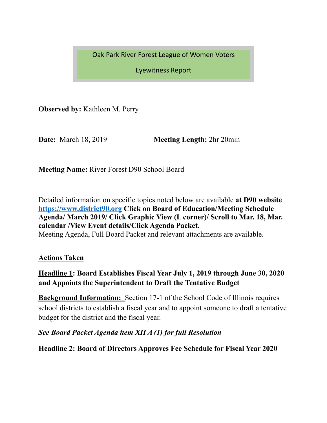Oak Park River Forest League of Women Voters

Eyewitness Report 

**Observed by:** Kathleen M. Perry

**Date:** March 18, 2019 **Meeting Length:**  $2 \text{ hr } 20 \text{ min}$ 

**Meeting Name:** River Forest D90 School Board

Detailed information on specific topics noted below are available **at D90 website <https://www.district90.org> Click on Board of Education/Meeting Schedule Agenda/ March 2019/ Click Graphic View (L corner)/ Scroll to Mar. 18, Mar. calendar /View Event details/Click Agenda Packet.**  Meeting Agenda, Full Board Packet and relevant attachments are available.

**Actions Taken** 

### **Headline 1: Board Establishes Fiscal Year July 1, 2019 through June 30, 2020 and Appoints the Superintendent to Draft the Tentative Budget**

**Background Information:** Section 17-1 of the School Code of Illinois requires school districts to establish a fiscal year and to appoint someone to draft a tentative budget for the district and the fiscal year.

### *See Board Packet Agenda item XII A (1) for full Resolution*

**Headline 2: Board of Directors Approves Fee Schedule for Fiscal Year 2020**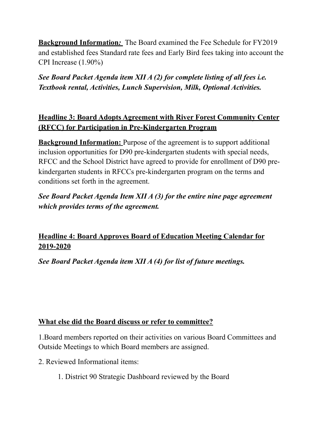**Background Information***:* The Board examined the Fee Schedule for FY2019 and established fees Standard rate fees and Early Bird fees taking into account the CPI Increase (1.90%)

*See Board Packet Agenda item XII A (2) for complete listing of all fees i.e. Textbook rental, Activities, Lunch Supervision, Milk, Optional Activities.* 

## **Headline 3: Board Adopts Agreement with River Forest Community Center (RFCC) for Participation in Pre-Kindergarten Program**

**Background Information:** Purpose of the agreement is to support additional inclusion opportunities for D90 pre-kindergarten students with special needs, RFCC and the School District have agreed to provide for enrollment of D90 prekindergarten students in RFCCs pre-kindergarten program on the terms and conditions set forth in the agreement.

*See Board Packet Agenda Item XII A (3) for the entire nine page agreement which provides terms of the agreement.* 

# **Headline 4: Board Approves Board of Education Meeting Calendar for 2019-2020**

*See Board Packet Agenda item XII A (4) for list of future meetings.* 

### **What else did the Board discuss or refer to committee?**

1.Board members reported on their activities on various Board Committees and Outside Meetings to which Board members are assigned.

- 2. Reviewed Informational items:
	- 1. District 90 Strategic Dashboard reviewed by the Board